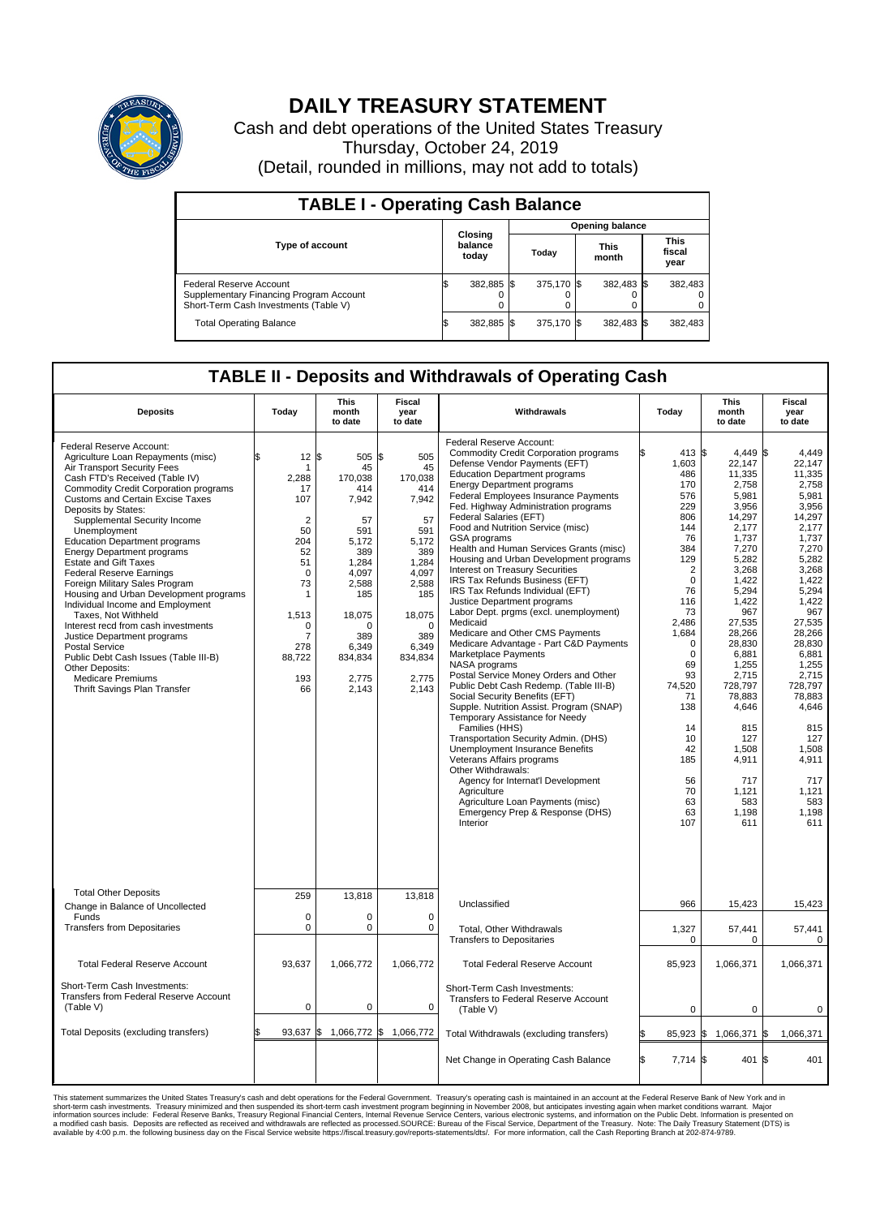

## **DAILY TREASURY STATEMENT**

Cash and debt operations of the United States Treasury Thursday, October 24, 2019 (Detail, rounded in millions, may not add to totals)

| <b>TABLE I - Operating Cash Balance</b>                                                                     |                             |            |       |                        |  |                      |  |                               |  |  |  |
|-------------------------------------------------------------------------------------------------------------|-----------------------------|------------|-------|------------------------|--|----------------------|--|-------------------------------|--|--|--|
|                                                                                                             |                             |            |       | <b>Opening balance</b> |  |                      |  |                               |  |  |  |
| <b>Type of account</b>                                                                                      | Closing<br>balance<br>today |            | Todav |                        |  | <b>This</b><br>month |  | <b>This</b><br>fiscal<br>year |  |  |  |
| Federal Reserve Account<br>Supplementary Financing Program Account<br>Short-Term Cash Investments (Table V) |                             | 382,885 \$ |       | 375.170 \$             |  | 382,483 \$           |  | 382,483                       |  |  |  |
| <b>Total Operating Balance</b>                                                                              | ß.                          | 382,885 \$ |       | 375.170 \$             |  | 382,483 \$           |  | 382,483                       |  |  |  |

## **TABLE II - Deposits and Withdrawals of Operating Cash**

| <b>Deposits</b>                                                                                                                                                                                                                                                                                                                                                                                                                                                                                                                                                                                                                                                                                                                                                                                                 | Today                                                                                                                                                                            | <b>This</b><br>month<br>to date                                                                                                                                        | <b>Fiscal</b><br>year<br>to date                                                                                                                                             | Withdrawals                                                                                                                                                                                                                                                                                                                                                                                                                                                                                                                                                                                                                                                                                                                                                                                                                                                                                                                                                                                                                                                                                                                                                                                                                                                     | Today                                                                                                                                                                                                                                                                        | <b>This</b><br>month<br>to date                                                                                                                                                                                                                                                                                | Fiscal<br>year<br>to date                                                                                                                                                                                                                                                                                   |
|-----------------------------------------------------------------------------------------------------------------------------------------------------------------------------------------------------------------------------------------------------------------------------------------------------------------------------------------------------------------------------------------------------------------------------------------------------------------------------------------------------------------------------------------------------------------------------------------------------------------------------------------------------------------------------------------------------------------------------------------------------------------------------------------------------------------|----------------------------------------------------------------------------------------------------------------------------------------------------------------------------------|------------------------------------------------------------------------------------------------------------------------------------------------------------------------|------------------------------------------------------------------------------------------------------------------------------------------------------------------------------|-----------------------------------------------------------------------------------------------------------------------------------------------------------------------------------------------------------------------------------------------------------------------------------------------------------------------------------------------------------------------------------------------------------------------------------------------------------------------------------------------------------------------------------------------------------------------------------------------------------------------------------------------------------------------------------------------------------------------------------------------------------------------------------------------------------------------------------------------------------------------------------------------------------------------------------------------------------------------------------------------------------------------------------------------------------------------------------------------------------------------------------------------------------------------------------------------------------------------------------------------------------------|------------------------------------------------------------------------------------------------------------------------------------------------------------------------------------------------------------------------------------------------------------------------------|----------------------------------------------------------------------------------------------------------------------------------------------------------------------------------------------------------------------------------------------------------------------------------------------------------------|-------------------------------------------------------------------------------------------------------------------------------------------------------------------------------------------------------------------------------------------------------------------------------------------------------------|
| Federal Reserve Account:<br>Agriculture Loan Repayments (misc)<br>Air Transport Security Fees<br>Cash FTD's Received (Table IV)<br><b>Commodity Credit Corporation programs</b><br><b>Customs and Certain Excise Taxes</b><br>Deposits by States:<br>Supplemental Security Income<br>Unemployment<br><b>Education Department programs</b><br><b>Energy Department programs</b><br><b>Estate and Gift Taxes</b><br><b>Federal Reserve Earnings</b><br>Foreign Military Sales Program<br>Housing and Urban Development programs<br>Individual Income and Employment<br>Taxes, Not Withheld<br>Interest recd from cash investments<br>Justice Department programs<br><b>Postal Service</b><br>Public Debt Cash Issues (Table III-B)<br>Other Deposits:<br><b>Medicare Premiums</b><br>Thrift Savings Plan Transfer | 12<br>\$<br>1<br>2,288<br>17<br>107<br>$\overline{2}$<br>50<br>204<br>52<br>51<br>$\mathbf 0$<br>73<br>1<br>1,513<br>$\mathbf 0$<br>$\overline{7}$<br>278<br>88,722<br>193<br>66 | 1\$<br>505<br>45<br>170,038<br>414<br>7,942<br>57<br>591<br>5,172<br>389<br>1.284<br>4,097<br>2,588<br>185<br>18,075<br>O<br>389<br>6,349<br>834,834<br>2,775<br>2,143 | \$<br>505<br>45<br>170.038<br>414<br>7,942<br>57<br>591<br>5,172<br>389<br>1.284<br>4,097<br>2,588<br>185<br>18,075<br>$\Omega$<br>389<br>6,349<br>834,834<br>2,775<br>2,143 | Federal Reserve Account:<br><b>Commodity Credit Corporation programs</b><br>Defense Vendor Payments (EFT)<br><b>Education Department programs</b><br><b>Energy Department programs</b><br><b>Federal Employees Insurance Payments</b><br>Fed. Highway Administration programs<br>Federal Salaries (EFT)<br>Food and Nutrition Service (misc)<br>GSA programs<br>Health and Human Services Grants (misc)<br>Housing and Urban Development programs<br>Interest on Treasury Securities<br>IRS Tax Refunds Business (EFT)<br>IRS Tax Refunds Individual (EFT)<br>Justice Department programs<br>Labor Dept. prgms (excl. unemployment)<br>Medicaid<br>Medicare and Other CMS Payments<br>Medicare Advantage - Part C&D Payments<br>Marketplace Payments<br>NASA programs<br>Postal Service Money Orders and Other<br>Public Debt Cash Redemp. (Table III-B)<br>Social Security Benefits (EFT)<br>Supple. Nutrition Assist. Program (SNAP)<br>Temporary Assistance for Needy<br>Families (HHS)<br>Transportation Security Admin. (DHS)<br>Unemployment Insurance Benefits<br>Veterans Affairs programs<br>Other Withdrawals:<br>Agency for Internat'l Development<br>Agriculture<br>Agriculture Loan Payments (misc)<br>Emergency Prep & Response (DHS)<br>Interior | 413 \$<br>1,603<br>486<br>170<br>576<br>229<br>806<br>144<br>76<br>384<br>129<br>$\overline{2}$<br>$\mathbf 0$<br>76<br>116<br>73<br>2,486<br>1,684<br>$\mathbf 0$<br>$\mathbf 0$<br>69<br>93<br>74,520<br>71<br>138<br>14<br>10<br>42<br>185<br>56<br>70<br>63<br>63<br>107 | 4.449 \$<br>22,147<br>11,335<br>2,758<br>5.981<br>3,956<br>14,297<br>2,177<br>1.737<br>7,270<br>5,282<br>3,268<br>1,422<br>5,294<br>1.422<br>967<br>27,535<br>28,266<br>28.830<br>6,881<br>1,255<br>2,715<br>728,797<br>78,883<br>4,646<br>815<br>127<br>1,508<br>4,911<br>717<br>1,121<br>583<br>1,198<br>611 | 4.449<br>22.147<br>11,335<br>2,758<br>5.981<br>3,956<br>14,297<br>2,177<br>1.737<br>7,270<br>5,282<br>3,268<br>1,422<br>5,294<br>1.422<br>967<br>27,535<br>28,266<br>28.830<br>6,881<br>1,255<br>2,715<br>728,797<br>78,883<br>4,646<br>815<br>127<br>1,508<br>4,911<br>717<br>1,121<br>583<br>1,198<br>611 |
| <b>Total Other Deposits</b><br>Change in Balance of Uncollected                                                                                                                                                                                                                                                                                                                                                                                                                                                                                                                                                                                                                                                                                                                                                 | 259                                                                                                                                                                              | 13,818                                                                                                                                                                 | 13,818                                                                                                                                                                       | Unclassified                                                                                                                                                                                                                                                                                                                                                                                                                                                                                                                                                                                                                                                                                                                                                                                                                                                                                                                                                                                                                                                                                                                                                                                                                                                    | 966                                                                                                                                                                                                                                                                          | 15,423                                                                                                                                                                                                                                                                                                         | 15,423                                                                                                                                                                                                                                                                                                      |
| Funds<br><b>Transfers from Depositaries</b>                                                                                                                                                                                                                                                                                                                                                                                                                                                                                                                                                                                                                                                                                                                                                                     | $\mathbf 0$<br>$\mathbf 0$                                                                                                                                                       | 0<br>0                                                                                                                                                                 | $\mathbf 0$<br>$\mathbf 0$                                                                                                                                                   | Total, Other Withdrawals<br><b>Transfers to Depositaries</b>                                                                                                                                                                                                                                                                                                                                                                                                                                                                                                                                                                                                                                                                                                                                                                                                                                                                                                                                                                                                                                                                                                                                                                                                    | 1,327<br>0                                                                                                                                                                                                                                                                   | 57,441<br>$\Omega$                                                                                                                                                                                                                                                                                             | 57,441<br>0                                                                                                                                                                                                                                                                                                 |
| <b>Total Federal Reserve Account</b>                                                                                                                                                                                                                                                                                                                                                                                                                                                                                                                                                                                                                                                                                                                                                                            | 93.637                                                                                                                                                                           | 1,066,772                                                                                                                                                              | 1.066.772                                                                                                                                                                    | <b>Total Federal Reserve Account</b>                                                                                                                                                                                                                                                                                                                                                                                                                                                                                                                                                                                                                                                                                                                                                                                                                                                                                                                                                                                                                                                                                                                                                                                                                            | 85,923                                                                                                                                                                                                                                                                       | 1,066,371                                                                                                                                                                                                                                                                                                      | 1.066.371                                                                                                                                                                                                                                                                                                   |
| Short-Term Cash Investments:<br><b>Transfers from Federal Reserve Account</b><br>(Table V)                                                                                                                                                                                                                                                                                                                                                                                                                                                                                                                                                                                                                                                                                                                      | $\mathbf 0$                                                                                                                                                                      | 0                                                                                                                                                                      | $\mathbf 0$                                                                                                                                                                  | Short-Term Cash Investments:<br>Transfers to Federal Reserve Account<br>(Table V)                                                                                                                                                                                                                                                                                                                                                                                                                                                                                                                                                                                                                                                                                                                                                                                                                                                                                                                                                                                                                                                                                                                                                                               | $\mathbf 0$                                                                                                                                                                                                                                                                  | $\mathbf 0$                                                                                                                                                                                                                                                                                                    | $\mathbf 0$                                                                                                                                                                                                                                                                                                 |
| Total Deposits (excluding transfers)                                                                                                                                                                                                                                                                                                                                                                                                                                                                                                                                                                                                                                                                                                                                                                            | 93,637                                                                                                                                                                           | ß.<br>1,066,772 \$                                                                                                                                                     | 1,066,772                                                                                                                                                                    | Total Withdrawals (excluding transfers)                                                                                                                                                                                                                                                                                                                                                                                                                                                                                                                                                                                                                                                                                                                                                                                                                                                                                                                                                                                                                                                                                                                                                                                                                         | $85,923$ \$                                                                                                                                                                                                                                                                  | 1,066,371                                                                                                                                                                                                                                                                                                      | 1\$<br>1,066,371                                                                                                                                                                                                                                                                                            |
|                                                                                                                                                                                                                                                                                                                                                                                                                                                                                                                                                                                                                                                                                                                                                                                                                 |                                                                                                                                                                                  |                                                                                                                                                                        |                                                                                                                                                                              | Net Change in Operating Cash Balance                                                                                                                                                                                                                                                                                                                                                                                                                                                                                                                                                                                                                                                                                                                                                                                                                                                                                                                                                                                                                                                                                                                                                                                                                            | l\$<br>7,714 \$                                                                                                                                                                                                                                                              | 401                                                                                                                                                                                                                                                                                                            | l\$<br>401                                                                                                                                                                                                                                                                                                  |

This statement summarizes the United States Treasury's cash and debt operations for the Federal Government. Treasury soperating in November 2008, but anticiarded in a cocount at the Federal metaformation sources investment